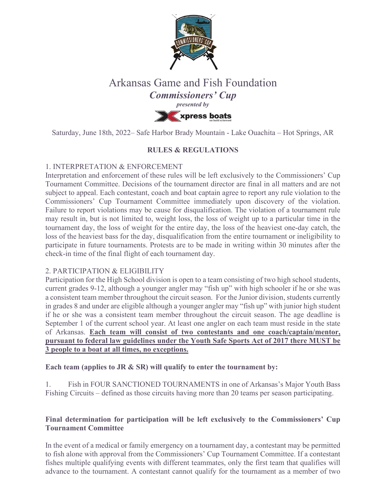

# Arkansas Game and Fish Foundation *Commissioners' Cup presented by* **XXX** xpress boats

Saturday, June 18th, 2022– Safe Harbor Brady Mountain - Lake Ouachita – Hot Springs, AR

# **RULES & REGULATIONS**

# 1. INTERPRETATION & ENFORCEMENT

Interpretation and enforcement of these rules will be left exclusively to the Commissioners' Cup Tournament Committee. Decisions of the tournament director are final in all matters and are not subject to appeal. Each contestant, coach and boat captain agree to report any rule violation to the Commissioners' Cup Tournament Committee immediately upon discovery of the violation. Failure to report violations may be cause for disqualification. The violation of a tournament rule may result in, but is not limited to, weight loss, the loss of weight up to a particular time in the tournament day, the loss of weight for the entire day, the loss of the heaviest one-day catch, the loss of the heaviest bass for the day, disqualification from the entire tournament or ineligibility to participate in future tournaments. Protests are to be made in writing within 30 minutes after the check-in time of the final flight of each tournament day.

# 2. PARTICIPATION & ELIGIBILITY

Participation for the High School division is open to a team consisting of two high school students, current grades 9-12, although a younger angler may "fish up" with high schooler if he or she was a consistent team member throughout the circuit season. For the Junior division, students currently in grades 8 and under are eligible although a younger angler may "fish up" with junior high student if he or she was a consistent team member throughout the circuit season. The age deadline is September 1 of the current school year. At least one angler on each team must reside in the state of Arkansas. **Each team will consist of two contestants and one coach/captain/mentor, pursuant to federal law guidelines under the Youth Safe Sports Act of 2017 there MUST be 3 people to a boat at all times, no exceptions.**

**Each team (applies to JR & SR) will qualify to enter the tournament by:**

1. Fish in FOUR SANCTIONED TOURNAMENTS in one of Arkansas's Major Youth Bass Fishing Circuits – defined as those circuits having more than 20 teams per season participating.

# **Final determination for participation will be left exclusively to the Commissioners' Cup Tournament Committee**

In the event of a medical or family emergency on a tournament day, a contestant may be permitted to fish alone with approval from the Commissioners' Cup Tournament Committee. If a contestant fishes multiple qualifying events with different teammates, only the first team that qualifies will advance to the tournament. A contestant cannot qualify for the tournament as a member of two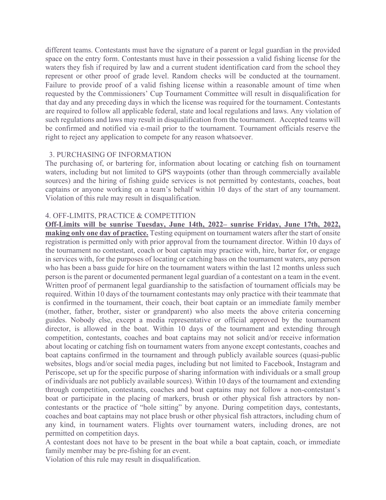different teams. Contestants must have the signature of a parent or legal guardian in the provided space on the entry form. Contestants must have in their possession a valid fishing license for the waters they fish if required by law and a current student identification card from the school they represent or other proof of grade level. Random checks will be conducted at the tournament. Failure to provide proof of a valid fishing license within a reasonable amount of time when requested by the Commissioners' Cup Tournament Committee will result in disqualification for that day and any preceding days in which the license was required for the tournament. Contestants are required to follow all applicable federal, state and local regulations and laws. Any violation of such regulations and laws may result in disqualification from the tournament. Accepted teams will be confirmed and notified via e-mail prior to the tournament. Tournament officials reserve the right to reject any application to compete for any reason whatsoever.

# 3. PURCHASING OF INFORMATION

The purchasing of, or bartering for, information about locating or catching fish on tournament waters, including but not limited to GPS waypoints (other than through commercially available sources) and the hiring of fishing guide services is not permitted by contestants, coaches, boat captains or anyone working on a team's behalf within 10 days of the start of any tournament. Violation of this rule may result in disqualification.

# 4. OFF-LIMITS, PRACTICE & COMPETITION

**Off-Limits will be sunrise Tuesday, June 14th, 2022– sunrise Friday, June 17th, 2022, making only one day of practice.** Testing equipment on tournament waters after the start of onsite registration is permitted only with prior approval from the tournament director. Within 10 days of the tournament no contestant, coach or boat captain may practice with, hire, barter for, or engage in services with, for the purposes of locating or catching bass on the tournament waters, any person who has been a bass guide for hire on the tournament waters within the last 12 months unless such person is the parent or documented permanent legal guardian of a contestant on a team in the event. Written proof of permanent legal guardianship to the satisfaction of tournament officials may be required. Within 10 days of the tournament contestants may only practice with their teammate that is confirmed in the tournament, their coach, their boat captain or an immediate family member (mother, father, brother, sister or grandparent) who also meets the above criteria concerning guides. Nobody else, except a media representative or official approved by the tournament director, is allowed in the boat. Within 10 days of the tournament and extending through competition, contestants, coaches and boat captains may not solicit and/or receive information about locating or catching fish on tournament waters from anyone except contestants, coaches and boat captains confirmed in the tournament and through publicly available sources (quasi-public websites, blogs and/or social media pages, including but not limited to Facebook, Instagram and Periscope, set up for the specific purpose of sharing information with individuals or a small group of individuals are not publicly available sources). Within 10 days of the tournament and extending through competition, contestants, coaches and boat captains may not follow a non-contestant's boat or participate in the placing of markers, brush or other physical fish attractors by noncontestants or the practice of "hole sitting" by anyone. During competition days, contestants, coaches and boat captains may not place brush or other physical fish attractors, including chum of any kind, in tournament waters. Flights over tournament waters, including drones, are not permitted on competition days.

A contestant does not have to be present in the boat while a boat captain, coach, or immediate family member may be pre-fishing for an event.

Violation of this rule may result in disqualification.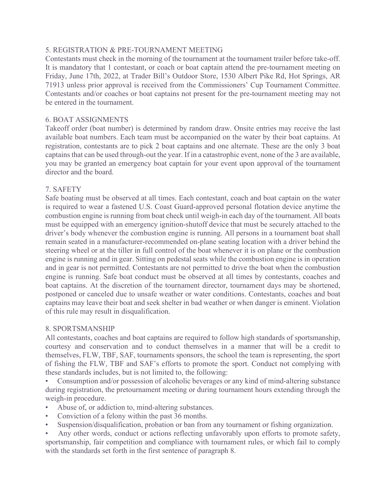# 5. REGISTRATION & PRE-TOURNAMENT MEETING

Contestants must check in the morning of the tournament at the tournament trailer before take-off. It is mandatory that 1 contestant, or coach or boat captain attend the pre-tournament meeting on Friday, June 17th, 2022, at Trader Bill's Outdoor Store, 1530 Albert Pike Rd, Hot Springs, AR 71913 unless prior approval is received from the Commissioners' Cup Tournament Committee. Contestants and/or coaches or boat captains not present for the pre-tournament meeting may not be entered in the tournament.

## 6. BOAT ASSIGNMENTS

Takeoff order (boat number) is determined by random draw. Onsite entries may receive the last available boat numbers. Each team must be accompanied on the water by their boat captains. At registration, contestants are to pick 2 boat captains and one alternate. These are the only 3 boat captains that can be used through-out the year. If in a catastrophic event, none of the 3 are available, you may be granted an emergency boat captain for your event upon approval of the tournament director and the board.

# 7. SAFETY

Safe boating must be observed at all times. Each contestant, coach and boat captain on the water is required to wear a fastened U.S. Coast Guard-approved personal flotation device anytime the combustion engine is running from boat check until weigh-in each day of the tournament. All boats must be equipped with an emergency ignition-shutoff device that must be securely attached to the driver's body whenever the combustion engine is running. All persons in a tournament boat shall remain seated in a manufacturer-recommended on-plane seating location with a driver behind the steering wheel or at the tiller in full control of the boat whenever it is on plane or the combustion engine is running and in gear. Sitting on pedestal seats while the combustion engine is in operation and in gear is not permitted. Contestants are not permitted to drive the boat when the combustion engine is running. Safe boat conduct must be observed at all times by contestants, coaches and boat captains. At the discretion of the tournament director, tournament days may be shortened, postponed or canceled due to unsafe weather or water conditions. Contestants, coaches and boat captains may leave their boat and seek shelter in bad weather or when danger is eminent. Violation of this rule may result in disqualification.

#### 8. SPORTSMANSHIP

All contestants, coaches and boat captains are required to follow high standards of sportsmanship, courtesy and conservation and to conduct themselves in a manner that will be a credit to themselves, FLW, TBF, SAF, tournaments sponsors, the school the team is representing, the sport of fishing the FLW, TBF and SAF's efforts to promote the sport. Conduct not complying with these standards includes, but is not limited to, the following:

• Consumption and/or possession of alcoholic beverages or any kind of mind-altering substance during registration, the pretournament meeting or during tournament hours extending through the weigh-in procedure.

- Abuse of, or addiction to, mind-altering substances.
- Conviction of a felony within the past 36 months.
- Suspension/disqualification, probation or ban from any tournament or fishing organization.

• Any other words, conduct or actions reflecting unfavorably upon efforts to promote safety, sportsmanship, fair competition and compliance with tournament rules, or which fail to comply with the standards set forth in the first sentence of paragraph 8.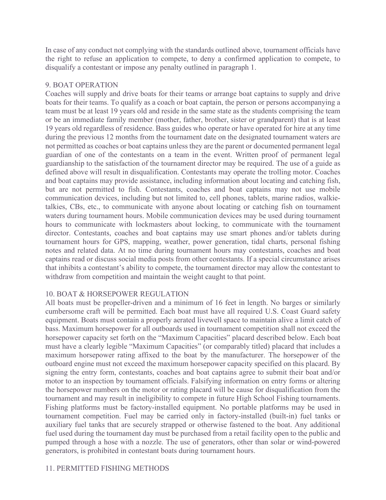In case of any conduct not complying with the standards outlined above, tournament officials have the right to refuse an application to compete, to deny a confirmed application to compete, to disqualify a contestant or impose any penalty outlined in paragraph 1.

# 9. BOAT OPERATION

Coaches will supply and drive boats for their teams or arrange boat captains to supply and drive boats for their teams. To qualify as a coach or boat captain, the person or persons accompanying a team must be at least 19 years old and reside in the same state as the students comprising the team or be an immediate family member (mother, father, brother, sister or grandparent) that is at least 19 years old regardless of residence. Bass guides who operate or have operated for hire at any time during the previous 12 months from the tournament date on the designated tournament waters are not permitted as coaches or boat captains unless they are the parent or documented permanent legal guardian of one of the contestants on a team in the event. Written proof of permanent legal guardianship to the satisfaction of the tournament director may be required. The use of a guide as defined above will result in disqualification. Contestants may operate the trolling motor. Coaches and boat captains may provide assistance, including information about locating and catching fish, but are not permitted to fish. Contestants, coaches and boat captains may not use mobile communication devices, including but not limited to, cell phones, tablets, marine radios, walkietalkies, CBs, etc., to communicate with anyone about locating or catching fish on tournament waters during tournament hours. Mobile communication devices may be used during tournament hours to communicate with lockmasters about locking, to communicate with the tournament director. Contestants, coaches and boat captains may use smart phones and/or tablets during tournament hours for GPS, mapping, weather, power generation, tidal charts, personal fishing notes and related data. At no time during tournament hours may contestants, coaches and boat captains read or discuss social media posts from other contestants. If a special circumstance arises that inhibits a contestant's ability to compete, the tournament director may allow the contestant to withdraw from competition and maintain the weight caught to that point.

#### 10. BOAT & HORSEPOWER REGULATION

All boats must be propeller-driven and a minimum of 16 feet in length. No barges or similarly cumbersome craft will be permitted. Each boat must have all required U.S. Coast Guard safety equipment. Boats must contain a properly aerated livewell space to maintain alive a limit catch of bass. Maximum horsepower for all outboards used in tournament competition shall not exceed the horsepower capacity set forth on the "Maximum Capacities" placard described below. Each boat must have a clearly legible "Maximum Capacities" (or comparably titled) placard that includes a maximum horsepower rating affixed to the boat by the manufacturer. The horsepower of the outboard engine must not exceed the maximum horsepower capacity specified on this placard. By signing the entry form, contestants, coaches and boat captains agree to submit their boat and/or motor to an inspection by tournament officials. Falsifying information on entry forms or altering the horsepower numbers on the motor or rating placard will be cause for disqualification from the tournament and may result in ineligibility to compete in future High School Fishing tournaments. Fishing platforms must be factory-installed equipment. No portable platforms may be used in tournament competition. Fuel may be carried only in factory-installed (built-in) fuel tanks or auxiliary fuel tanks that are securely strapped or otherwise fastened to the boat. Any additional fuel used during the tournament day must be purchased from a retail facility open to the public and pumped through a hose with a nozzle. The use of generators, other than solar or wind-powered generators, is prohibited in contestant boats during tournament hours.

# 11. PERMITTED FISHING METHODS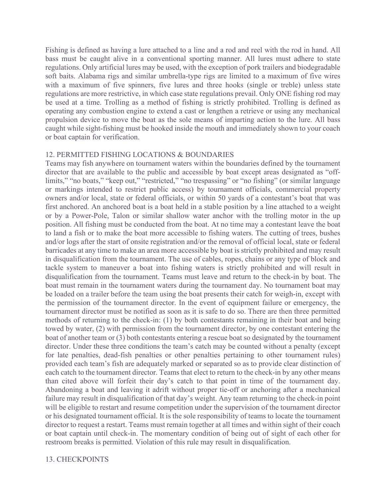Fishing is defined as having a lure attached to a line and a rod and reel with the rod in hand. All bass must be caught alive in a conventional sporting manner. All lures must adhere to state regulations. Only artificial lures may be used, with the exception of pork trailers and biodegradable soft baits. Alabama rigs and similar umbrella-type rigs are limited to a maximum of five wires with a maximum of five spinners, five lures and three hooks (single or treble) unless state regulations are more restrictive, in which case state regulations prevail. Only ONE fishing rod may be used at a time. Trolling as a method of fishing is strictly prohibited. Trolling is defined as operating any combustion engine to extend a cast or lengthen a retrieve or using any mechanical propulsion device to move the boat as the sole means of imparting action to the lure. All bass caught while sight-fishing must be hooked inside the mouth and immediately shown to your coach or boat captain for verification.

#### 12. PERMITTED FISHING LOCATIONS & BOUNDARIES

Teams may fish anywhere on tournament waters within the boundaries defined by the tournament director that are available to the public and accessible by boat except areas designated as "offlimits," "no boats," "keep out," "restricted," "no trespassing" or "no fishing" (or similar language or markings intended to restrict public access) by tournament officials, commercial property owners and/or local, state or federal officials, or within 50 yards of a contestant's boat that was first anchored. An anchored boat is a boat held in a stable position by a line attached to a weight or by a Power-Pole, Talon or similar shallow water anchor with the trolling motor in the up position. All fishing must be conducted from the boat. At no time may a contestant leave the boat to land a fish or to make the boat more accessible to fishing waters. The cutting of trees, bushes and/or logs after the start of onsite registration and/or the removal of official local, state or federal barricades at any time to make an area more accessible by boat is strictly prohibited and may result in disqualification from the tournament. The use of cables, ropes, chains or any type of block and tackle system to maneuver a boat into fishing waters is strictly prohibited and will result in disqualification from the tournament. Teams must leave and return to the check-in by boat. The boat must remain in the tournament waters during the tournament day. No tournament boat may be loaded on a trailer before the team using the boat presents their catch for weigh-in, except with the permission of the tournament director. In the event of equipment failure or emergency, the tournament director must be notified as soon as it is safe to do so. There are then three permitted methods of returning to the check-in: (1) by both contestants remaining in their boat and being towed by water, (2) with permission from the tournament director, by one contestant entering the boat of another team or (3) both contestants entering a rescue boat so designated by the tournament director. Under these three conditions the team's catch may be counted without a penalty (except for late penalties, dead-fish penalties or other penalties pertaining to other tournament rules) provided each team's fish are adequately marked or separated so as to provide clear distinction of each catch to the tournament director. Teams that elect to return to the check-in by any other means than cited above will forfeit their day's catch to that point in time of the tournament day. Abandoning a boat and leaving it adrift without proper tie-off or anchoring after a mechanical failure may result in disqualification of that day's weight. Any team returning to the check-in point will be eligible to restart and resume competition under the supervision of the tournament director or his designated tournament official. It is the sole responsibility of teams to locate the tournament director to request a restart. Teams must remain together at all times and within sight of their coach or boat captain until check-in. The momentary condition of being out of sight of each other for restroom breaks is permitted. Violation of this rule may result in disqualification.

#### 13. CHECKPOINTS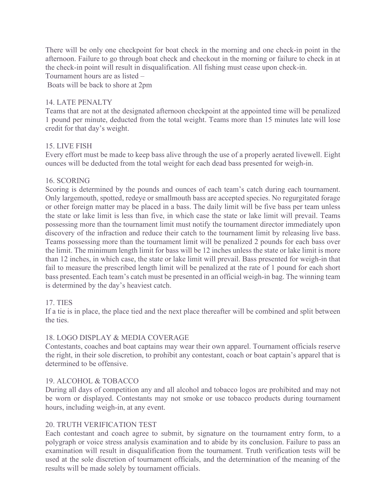There will be only one checkpoint for boat check in the morning and one check-in point in the afternoon. Failure to go through boat check and checkout in the morning or failure to check in at the check-in point will result in disqualification. All fishing must cease upon check-in. Tournament hours are as listed –

Boats will be back to shore at 2pm

## 14. LATE PENALTY

Teams that are not at the designated afternoon checkpoint at the appointed time will be penalized 1 pound per minute, deducted from the total weight. Teams more than 15 minutes late will lose credit for that day's weight.

# 15. LIVE FISH

Every effort must be made to keep bass alive through the use of a properly aerated livewell. Eight ounces will be deducted from the total weight for each dead bass presented for weigh-in.

#### 16. SCORING

Scoring is determined by the pounds and ounces of each team's catch during each tournament. Only largemouth, spotted, redeye or smallmouth bass are accepted species. No regurgitated forage or other foreign matter may be placed in a bass. The daily limit will be five bass per team unless the state or lake limit is less than five, in which case the state or lake limit will prevail. Teams possessing more than the tournament limit must notify the tournament director immediately upon discovery of the infraction and reduce their catch to the tournament limit by releasing live bass. Teams possessing more than the tournament limit will be penalized 2 pounds for each bass over the limit. The minimum length limit for bass will be 12 inches unless the state or lake limit is more than 12 inches, in which case, the state or lake limit will prevail. Bass presented for weigh-in that fail to measure the prescribed length limit will be penalized at the rate of 1 pound for each short bass presented. Each team's catch must be presented in an official weigh-in bag. The winning team is determined by the day's heaviest catch.

# 17. TIES

If a tie is in place, the place tied and the next place thereafter will be combined and split between the ties.

#### 18. LOGO DISPLAY & MEDIA COVERAGE

Contestants, coaches and boat captains may wear their own apparel. Tournament officials reserve the right, in their sole discretion, to prohibit any contestant, coach or boat captain's apparel that is determined to be offensive.

#### 19. ALCOHOL & TOBACCO

During all days of competition any and all alcohol and tobacco logos are prohibited and may not be worn or displayed. Contestants may not smoke or use tobacco products during tournament hours, including weigh-in, at any event.

#### 20. TRUTH VERIFICATION TEST

Each contestant and coach agree to submit, by signature on the tournament entry form, to a polygraph or voice stress analysis examination and to abide by its conclusion. Failure to pass an examination will result in disqualification from the tournament. Truth verification tests will be used at the sole discretion of tournament officials, and the determination of the meaning of the results will be made solely by tournament officials.